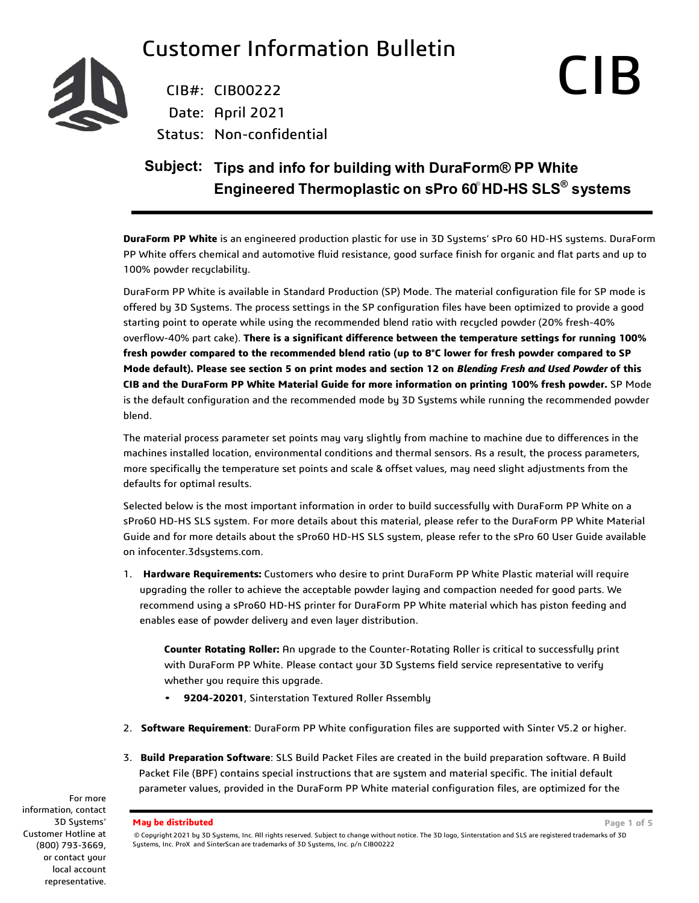

Date: April 2021 Status: Non-confidential CIB#: CIB00222

### **Subject: Tips and info for building with DuraForm® PP White Engineered Thermoplastic on sPro 60 HD-HS SLS® systems**

**DuraForm PP White** is an engineered production plastic for use in 3D Systems' sPro 60 HD-HS systems. DuraForm PP White offers chemical and automotive fluid resistance, good surface finish for organic and flat parts and up to 100% powder recyclability.

DuraForm PP White is available in Standard Production (SP) Mode. The material configuration file for SP mode is offered by 3D Systems. The process settings in the SP configuration files have been optimized to provide a good starting point to operate while using the recommended blend ratio with recycled powder (20% fresh-40% overflow-40% part cake). **There is a significant difference between the temperature settings for running 100% fresh powder compared to the recommended blend ratio (up to 8°C lower for fresh powder compared to SP Mode default). Please see section 5 on print modes and section 12 on** *Blending Fresh and Used Powder* **of this CIB and the DuraForm PP White Material Guide for more information on printing 100% fresh powder.** SP Mode is the default configuration and the recommended mode by 3D Systems while running the recommended powder blend.

The material process parameter set points may vary slightly from machine to machine due to differences in the machines installed location, environmental conditions and thermal sensors. As a result, the process parameters, more specifically the temperature set points and scale & offset values, may need slight adjustments from the defaults for optimal results.

Selected below is the most important information in order to build successfully with DuraForm PP White on a sPro60 HD-HS SLS system. For more details about this material, please refer to the DuraForm PP White Material Guide and for more details about the sPro60 HD-HS SLS system, please refer to the sPro 60 User Guide available on infocenter.3dsystems.com.

1. **Hardware Requirements:** Customers who desire to print DuraForm PP White Plastic material will require upgrading the roller to achieve the acceptable powder laying and compaction needed for good parts. We recommend using a sPro60 HD-HS printer for DuraForm PP White material which has piston feeding and enables ease of powder delivery and even layer distribution.

**Counter Rotating Roller:** An upgrade to the Counter-Rotating Roller is critical to successfully print with DuraForm PP White. Please contact your 3D Systems field service representative to verify whether you require this upgrade.

- **9204-20201**, Sinterstation Textured Roller Assembly
- 2. **Software Requirement**: DuraForm PP White configuration files are supported with Sinter V5.2 or higher.
- 3. **Build Preparation Software**: SLS Build Packet Files are created in the build preparation software. A Build Packet File (BPF) contains special instructions that are system and material specific. The initial default parameter values, provided in the DuraForm PP White material configuration files, are optimized for the

#### **May be distributed Page 1 of 5**

© Copyright 2021 by 3D Systems, Inc. All rights reserved. Subject to change without notice. The 3D logo, Sinterstation and SLS are registered trademarks of 3D Systems, Inc. ProX and SinterScan are trademarks of 3D Systems, Inc. p/n CIB00222

For more information, contact 3D Systems' Customer Hotline at (800) 793-3669, or contact your local account representative.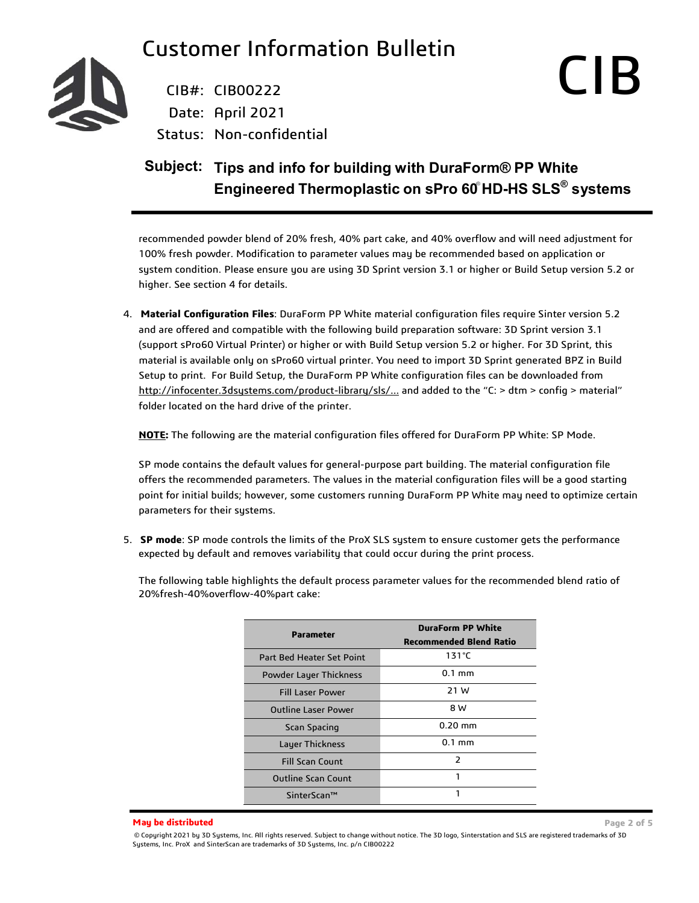

Date: April 2021 Status: Non-confidential CIB#: CIB00222

#### **Subject: Tips and info for building with DuraForm® PP White Engineered Thermoplastic on sPro 60 HD-HS SLS® systems**

recommended powder blend of 20% fresh, 40% part cake, and 40% overflow and will need adjustment for 100% fresh powder. Modification to parameter values may be recommended based on application or system condition. Please ensure you are using 3D Sprint version 3.1 or higher or Build Setup version 5.2 or higher. See section 4 for details.

4. **Material Configuration Files**: DuraForm PP White material configuration files require Sinter version 5.2 and are offered and compatible with the following build preparation software: 3D Sprint version 3.1 (support sPro60 Virtual Printer) or higher or with Build Setup version 5.2 or higher. For 3D Sprint, this material is available only on sPro60 virtual printer. You need to import 3D Sprint generated BPZ in Build Setup to print. For Build Setup, the DuraForm PP White configuration files can be downloaded from http://infocenter.3dsystems.com/product-library/sls/... and added to the "C: > dtm > config > material" folder located on the hard drive of the printer.

**NOTE:** The following are the material configuration files offered for DuraForm PP White: SP Mode.

SP mode contains the default values for general-purpose part building. The material configuration file offers the recommended parameters. The values in the material configuration files will be a good starting point for initial builds; however, some customers running DuraForm PP White may need to optimize certain parameters for their systems.

5. **SP mode**: SP mode controls the limits of the ProX SLS system to ensure customer gets the performance expected by default and removes variability that could occur during the print process.

The following table highlights the default process parameter values for the recommended blend ratio of 20%fresh-40%overflow-40%part cake:

| <b>Parameter</b>           | <b>DuraForm PP White</b><br><b>Recommended Blend Ratio</b> |
|----------------------------|------------------------------------------------------------|
| Part Bed Heater Set Point  | $131^{\circ}$ C                                            |
| Powder Layer Thickness     | $0.1$ mm                                                   |
| <b>Fill Laser Power</b>    | 21 W                                                       |
| <b>Outline Laser Power</b> | 8 W                                                        |
| Scan Spacing               | $0.20 \text{ mm}$                                          |
| Layer Thickness            | $0.1$ mm                                                   |
| <b>Fill Scan Count</b>     | $\overline{\phantom{a}}$                                   |
| <b>Outline Scan Count</b>  | 1                                                          |
| SinterScan™                | 1                                                          |

#### **May be distributed Page 2 of 5**

© Copyright 2021 by 3D Systems, Inc. All rights reserved. Subject to change without notice. The 3D logo, Sinterstation and SLS are registered trademarks of 3D Systems, Inc. ProX and SinterScan are trademarks of 3D Systems, Inc. p/n CIB00222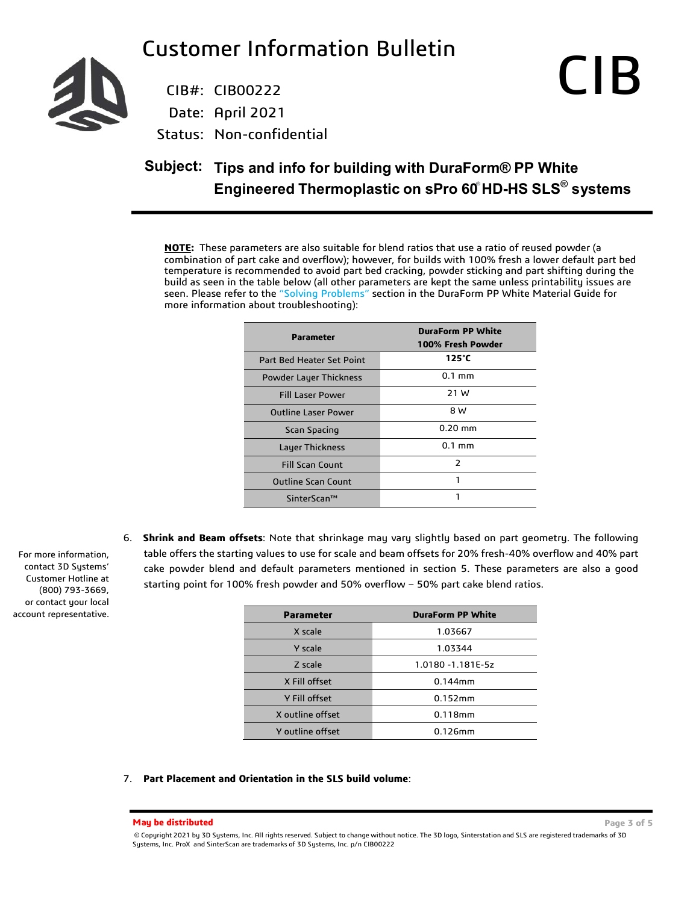

CIB#: CIB00222

Date: April 2021

Status: Non-confidential

### **Subject: Tips and info for building with DuraForm® PP White Engineered Thermoplastic on sPro 60 HD-HS SLS® systems**

**NOTE:** These parameters are also suitable for blend ratios that use a ratio of reused powder (a combination of part cake and overflow); however, for builds with 100% fresh a lower default part bed temperature is recommended to avoid part bed cracking, powder sticking and part shifting during the build as seen in the table below (all other parameters are kept the same unless printability issues are seen. Please refer to the "Solving Problems" section in the DuraForm PP White Material Guide for more information about troubleshooting):

| <b>Parameter</b>                 | <b>DuraForm PP White</b><br>100% Fresh Powder |
|----------------------------------|-----------------------------------------------|
| <b>Part Bed Heater Set Point</b> | $125^\circ C$                                 |
| Powder Layer Thickness           | $0.1$ mm                                      |
| <b>Fill Laser Power</b>          | 21 W                                          |
| <b>Outline Laser Power</b>       | 8 W                                           |
| Scan Spacing                     | $0.20 \text{ mm}$                             |
| Layer Thickness                  | $0.1$ mm                                      |
| <b>Fill Scan Count</b>           | $\overline{\phantom{a}}$                      |
| <b>Outline Scan Count</b>        | 1                                             |
| SinterScan™                      |                                               |

6. **Shrink and Beam offsets**: Note that shrinkage may vary slightly based on part geometry. The following table offers the starting values to use for scale and beam offsets for 20% fresh-40% overflow and 40% part cake powder blend and default parameters mentioned in section 5. These parameters are also a good starting point for 100% fresh powder and 50% overflow – 50% part cake blend ratios.

| <b>Parameter</b> | <b>DuraForm PP White</b> |
|------------------|--------------------------|
| X scale          | 1.03667                  |
| Y scale          | 1.03344                  |
| Z scale          | 1.0180 -1.181E-5z        |
| X Fill offset    | $0.144$ mm               |
| Y Fill offset    | $0.152$ mm               |
| X outline offset | 0.118mm                  |
| Y outline offset | $0.126$ mm               |

#### 7. **Part Placement and Orientation in the SLS build volume**:

**May be distributed Page 3 of 5** © Copyright 2021 by 3D Systems, Inc. All rights reserved. Subject to change without notice. The 3D logo, Sinterstation and SLS are registered trademarks of 3D Systems, Inc. ProX and SinterScan are trademarks of 3D Systems, Inc. p/n CIB00222

For more information, contact 3D Systems' Customer Hotline at (800) 793-3669, or contact your local account representative.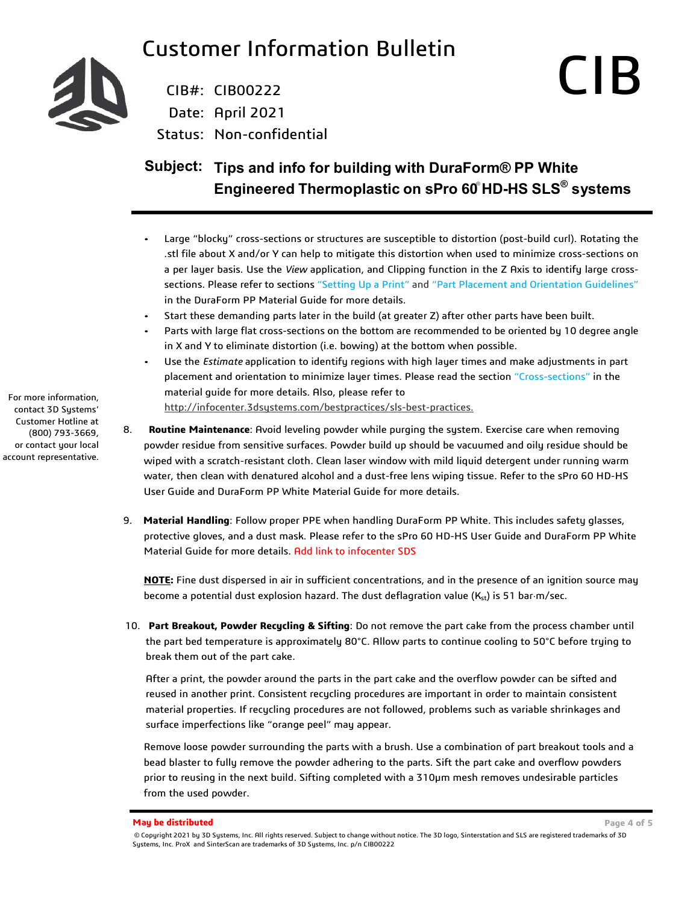

CIB#: CIB00222

Date: April 2021

Status: Non-confidential

### **Subject: Tips and info for building with DuraForm® PP White Engineered Thermoplastic on sPro 60 HD-HS SLS® systems**

- Large "blocky" cross-sections or structures are susceptible to distortion (post-build curl). Rotating the .stl file about X and/or Y can help to mitigate this distortion when used to minimize cross-sections on a per layer basis. Use the *View* application, and Clipping function in the Z Axis to identify large crosssections. Please refer to sections "Setting Up a Print" and "Part Placement and Orientation Guidelines" in the DuraForm PP Material Guide for more details.
- Start these demanding parts later in the build (at greater Z) after other parts have been built.
- Parts with large flat cross-sections on the bottom are recommended to be oriented by 10 degree angle in X and Y to eliminate distortion (i.e. bowing) at the bottom when possible.
- Use the *Estimate* application to identify regions with high layer times and make adjustments in part placement and orientation to minimize layer times. Please read the section "Cross-sections" in the material guide for more details. Also, please refer to

http://infocenter.3dsystems.com/bestpractices/sls-best-practices.

- 8. **Routine Maintenance**: Avoid leveling powder while purging the system. Exercise care when removing powder residue from sensitive surfaces. Powder build up should be vacuumed and oily residue should be wiped with a scratch-resistant cloth. Clean laser window with mild liquid detergent under running warm water, then clean with denatured alcohol and a dust-free lens wiping tissue. Refer to the sPro 60 HD-HS User Guide and DuraForm PP White Material Guide for more details.
- 9. **Material Handling**: Follow proper PPE when handling DuraForm PP White. This includes safety glasses, protective gloves, and a dust mask. Please refer to the sPro 60 HD-HS User Guide and DuraForm PP White Material Guide for more details. Add link to infocenter SDS

**NOTE:** Fine dust dispersed in air in sufficient concentrations, and in the presence of an ignition source may become a potential dust explosion hazard. The dust deflagration value (K<sub>st</sub>) is 51 bar∙m/sec.

10. **Part Breakout, Powder Recycling & Sifting**: Do not remove the part cake from the process chamber until the part bed temperature is approximately 80°C. Allow parts to continue cooling to 50°C before trying to break them out of the part cake.

After a print, the powder around the parts in the part cake and the overflow powder can be sifted and reused in another print. Consistent recycling procedures are important in order to maintain consistent material properties. If recycling procedures are not followed, problems such as variable shrinkages and surface imperfections like "orange peel" may appear.

Remove loose powder surrounding the parts with a brush. Use a combination of part breakout tools and a bead blaster to fully remove the powder adhering to the parts. Sift the part cake and overflow powders prior to reusing in the next build. Sifting completed with a 310μm mesh removes undesirable particles from the used powder.

For more information, contact 3D Systems' Customer Hotline at (800) 793-3669, or contact your local account representative.

**May be distributed Page 4 of 5**

<sup>©</sup> Copyright 2021 by 3D Systems, Inc. All rights reserved. Subject to change without notice. The 3D logo, Sinterstation and SLS are registered trademarks of 3D Systems, Inc. ProX and SinterScan are trademarks of 3D Systems, Inc. p/n CIB00222